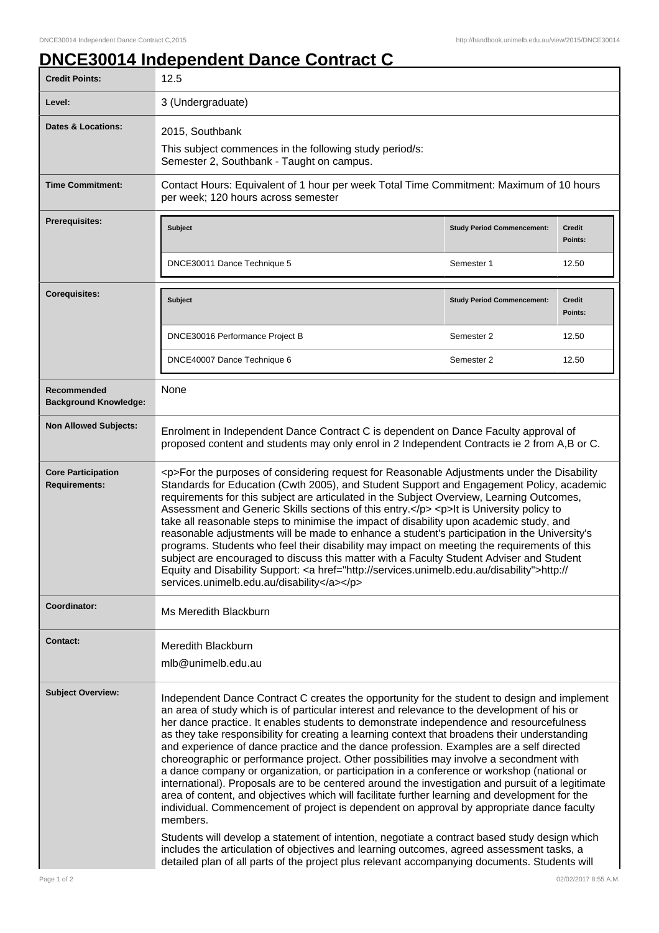## **DNCE30014 Independent Dance Contract C**

| <b>Credit Points:</b>                             | 12.5                                                                                                                                                                                                                                                                                                                                                                                                                                                                                                                                                                                                                                                                                                                                                                                                                                                                                                                                                                                                                                                                                                                                                                                                                                                                                       |                                   |                   |
|---------------------------------------------------|--------------------------------------------------------------------------------------------------------------------------------------------------------------------------------------------------------------------------------------------------------------------------------------------------------------------------------------------------------------------------------------------------------------------------------------------------------------------------------------------------------------------------------------------------------------------------------------------------------------------------------------------------------------------------------------------------------------------------------------------------------------------------------------------------------------------------------------------------------------------------------------------------------------------------------------------------------------------------------------------------------------------------------------------------------------------------------------------------------------------------------------------------------------------------------------------------------------------------------------------------------------------------------------------|-----------------------------------|-------------------|
| Level:                                            | 3 (Undergraduate)                                                                                                                                                                                                                                                                                                                                                                                                                                                                                                                                                                                                                                                                                                                                                                                                                                                                                                                                                                                                                                                                                                                                                                                                                                                                          |                                   |                   |
| <b>Dates &amp; Locations:</b>                     | 2015, Southbank<br>This subject commences in the following study period/s:<br>Semester 2, Southbank - Taught on campus.                                                                                                                                                                                                                                                                                                                                                                                                                                                                                                                                                                                                                                                                                                                                                                                                                                                                                                                                                                                                                                                                                                                                                                    |                                   |                   |
| <b>Time Commitment:</b>                           | Contact Hours: Equivalent of 1 hour per week Total Time Commitment: Maximum of 10 hours<br>per week; 120 hours across semester                                                                                                                                                                                                                                                                                                                                                                                                                                                                                                                                                                                                                                                                                                                                                                                                                                                                                                                                                                                                                                                                                                                                                             |                                   |                   |
| <b>Prerequisites:</b>                             | <b>Subject</b>                                                                                                                                                                                                                                                                                                                                                                                                                                                                                                                                                                                                                                                                                                                                                                                                                                                                                                                                                                                                                                                                                                                                                                                                                                                                             | <b>Study Period Commencement:</b> | Credit<br>Points: |
|                                                   | DNCE30011 Dance Technique 5                                                                                                                                                                                                                                                                                                                                                                                                                                                                                                                                                                                                                                                                                                                                                                                                                                                                                                                                                                                                                                                                                                                                                                                                                                                                | Semester 1                        | 12.50             |
| <b>Corequisites:</b>                              | <b>Subject</b>                                                                                                                                                                                                                                                                                                                                                                                                                                                                                                                                                                                                                                                                                                                                                                                                                                                                                                                                                                                                                                                                                                                                                                                                                                                                             | <b>Study Period Commencement:</b> | Credit<br>Points: |
|                                                   | DNCE30016 Performance Project B                                                                                                                                                                                                                                                                                                                                                                                                                                                                                                                                                                                                                                                                                                                                                                                                                                                                                                                                                                                                                                                                                                                                                                                                                                                            | Semester 2                        | 12.50             |
|                                                   | DNCE40007 Dance Technique 6                                                                                                                                                                                                                                                                                                                                                                                                                                                                                                                                                                                                                                                                                                                                                                                                                                                                                                                                                                                                                                                                                                                                                                                                                                                                | Semester 2                        | 12.50             |
| Recommended<br><b>Background Knowledge:</b>       | None                                                                                                                                                                                                                                                                                                                                                                                                                                                                                                                                                                                                                                                                                                                                                                                                                                                                                                                                                                                                                                                                                                                                                                                                                                                                                       |                                   |                   |
| <b>Non Allowed Subjects:</b>                      | Enrolment in Independent Dance Contract C is dependent on Dance Faculty approval of<br>proposed content and students may only enrol in 2 Independent Contracts ie 2 from A,B or C.                                                                                                                                                                                                                                                                                                                                                                                                                                                                                                                                                                                                                                                                                                                                                                                                                                                                                                                                                                                                                                                                                                         |                                   |                   |
| <b>Core Participation</b><br><b>Requirements:</b> | <p>For the purposes of considering request for Reasonable Adjustments under the Disability<br/>Standards for Education (Cwth 2005), and Student Support and Engagement Policy, academic<br/>requirements for this subject are articulated in the Subject Overview, Learning Outcomes,<br/>Assessment and Generic Skills sections of this entry.</p> <p>lt is University policy to<br/>take all reasonable steps to minimise the impact of disability upon academic study, and<br/>reasonable adjustments will be made to enhance a student's participation in the University's<br/>programs. Students who feel their disability may impact on meeting the requirements of this<br/>subject are encouraged to discuss this matter with a Faculty Student Adviser and Student<br/>Equity and Disability Support: <a href="http://services.unimelb.edu.au/disability">http://<br/>services.unimelb.edu.au/disability</a></p>                                                                                                                                                                                                                                                                                                                                                                  |                                   |                   |
| Coordinator:                                      | Ms Meredith Blackburn                                                                                                                                                                                                                                                                                                                                                                                                                                                                                                                                                                                                                                                                                                                                                                                                                                                                                                                                                                                                                                                                                                                                                                                                                                                                      |                                   |                   |
| <b>Contact:</b>                                   | Meredith Blackburn<br>mlb@unimelb.edu.au                                                                                                                                                                                                                                                                                                                                                                                                                                                                                                                                                                                                                                                                                                                                                                                                                                                                                                                                                                                                                                                                                                                                                                                                                                                   |                                   |                   |
| <b>Subject Overview:</b>                          | Independent Dance Contract C creates the opportunity for the student to design and implement<br>an area of study which is of particular interest and relevance to the development of his or<br>her dance practice. It enables students to demonstrate independence and resourcefulness<br>as they take responsibility for creating a learning context that broadens their understanding<br>and experience of dance practice and the dance profession. Examples are a self directed<br>choreographic or performance project. Other possibilities may involve a secondment with<br>a dance company or organization, or participation in a conference or workshop (national or<br>international). Proposals are to be centered around the investigation and pursuit of a legitimate<br>area of content, and objectives which will facilitate further learning and development for the<br>individual. Commencement of project is dependent on approval by appropriate dance faculty<br>members.<br>Students will develop a statement of intention, negotiate a contract based study design which<br>includes the articulation of objectives and learning outcomes, agreed assessment tasks, a<br>detailed plan of all parts of the project plus relevant accompanying documents. Students will |                                   |                   |